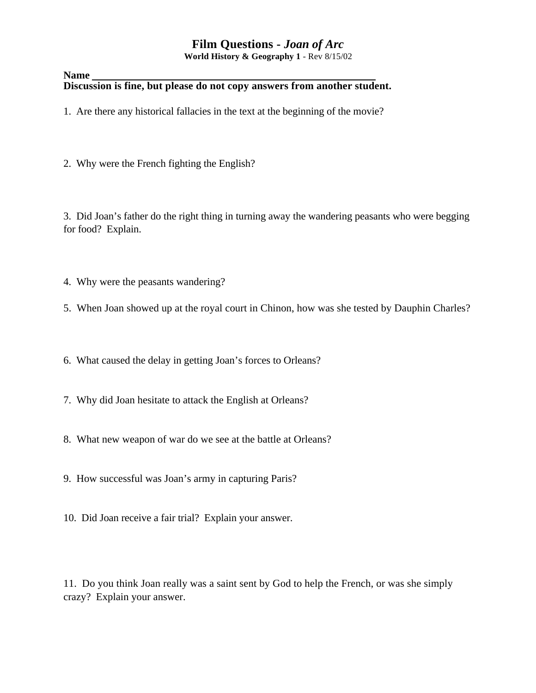## **Film Questions -** *Joan of Arc*

**World History & Geography 1** - Rev 8/15/02

## **Name Discussion is fine, but please do not copy answers from another student.**

1. Are there any historical fallacies in the text at the beginning of the movie?

2. Why were the French fighting the English?

3. Did Joan's father do the right thing in turning away the wandering peasants who were begging for food? Explain.

- 4. Why were the peasants wandering?
- 5. When Joan showed up at the royal court in Chinon, how was she tested by Dauphin Charles?
- 6. What caused the delay in getting Joan's forces to Orleans?
- 7. Why did Joan hesitate to attack the English at Orleans?
- 8. What new weapon of war do we see at the battle at Orleans?
- 9. How successful was Joan's army in capturing Paris?
- 10. Did Joan receive a fair trial? Explain your answer.

11. Do you think Joan really was a saint sent by God to help the French, or was she simply crazy? Explain your answer.